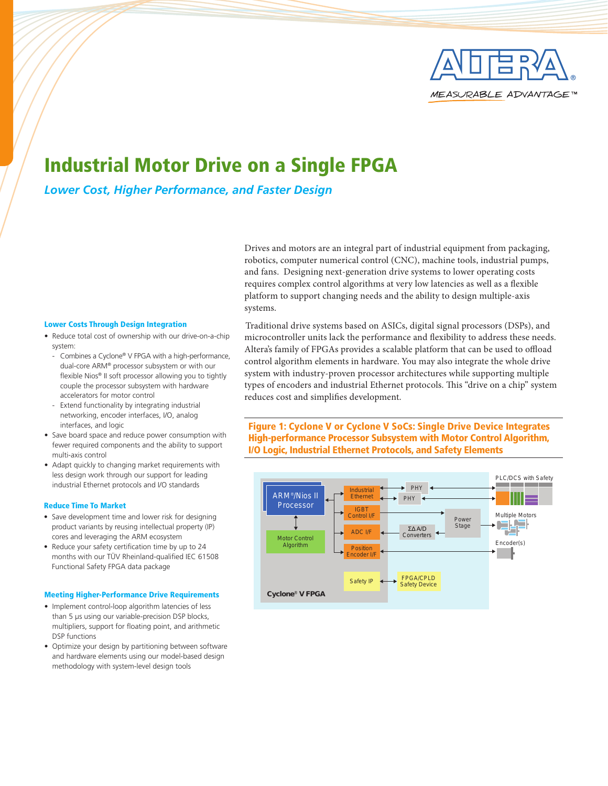

# Industrial Motor Drive on a Single FPGA

*Lower Cost, Higher Performance, and Faster Design*

### Lower Costs Through Design Integration

- Reduce total cost of ownership with our drive-on-a-chip system:
	- Combines a Cyclone® V FPGA with a high-performance, dual-core ARM® processor subsystem or with our flexible Nios® II soft processor allowing you to tightly couple the processor subsystem with hardware accelerators for motor control
	- Extend functionality by integrating industrial networking, encoder interfaces, I/O, analog interfaces, and logic
- Save board space and reduce power consumption with fewer required components and the ability to support multi-axis control
- • Adapt quickly to changing market requirements with less design work through our support for leading industrial Ethernet protocols and I/O standards **Industrial Construction Construction**

### Reduce Time To Market **Processor** Processor

- Save development time and lower risk for designing product variants by reusing intellectual property (IP) cores and leveraging the ARM ecosystem
- Reduce your safety certification time by up to 24 months with our TÜV Rheinland-qualified IEC 61508 Functional Safety FPGA data package

### Meeting Higher-Performance Drive Requirements

- Implement control-loop algorithm latencies of less than 5 µs using our variable-precision DSP blocks, multipliers, support for floating point, and arithmetic DSP functions
- Optimize your design by partitioning between software and hardware elements using our model-based design methodology with system-level design tools

Drives and motors are an integral part of industrial equipment from packaging, robotics, computer numerical control (CNC), machine tools, industrial pumps, and fans. Designing next-generation drive systems to lower operating costs requires complex control algorithms at very low latencies as well as a flexible platform to support changing needs and the ability to design multiple-axis systems.

Traditional drive systems based on ASICs, digital signal processors (DSPs), and microcontroller units lack the performance and flexibility to address these needs. Altera's family of FPGAs provides a scalable platform that can be used to offload control algorithm elements in hardware. You may also integrate the whole drive system with industry-proven processor architectures while supporting multiple types of encoders and industrial Ethernet protocols. This "drive on a chip" system reduces cost and simplifies development.

Figure 1: Cyclone V or Cyclone V SoCs: Single Drive Device Integrates High-performance Processor Subsystem with Motor Control Algorithm, I/O Logic, Industrial Ethernet Protocols, and Safety Elements